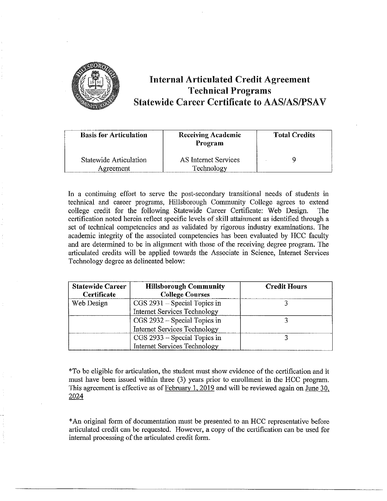

# **Internal Articulated Credit Agreement Technical Programs Statewide Career Certificate to AAS/AS/PSAV**

| <b>Basis for Articulation</b>       | <b>Receiving Academic</b><br>Program | <b>Total Credits</b> |
|-------------------------------------|--------------------------------------|----------------------|
| Statewide Articulation<br>Agreement | AS Internet Services<br>Technology   |                      |

In a continuing effort to serve the post-secondary transitional needs of students in technical and career programs, Hillsborough Connnunity College agrees to extend college credit for the following Statewide Career Certificate: Web Design. The certification noted herein reflect specific levels of skill attainment as identified through a set of technical competencies and as validated by rigorous industry examinations. The academic integrity of the associated competencies has been evaluated by HCC faculty and are determined to be in alignment with those of the receiving degree program. The articulated credits will be applied towards the Associate in Science, Internet Services Technology degree as delineated below:

| <b>Statewide Career</b><br>Certificate | <b>Hillsborough Community</b><br><b>College Courses</b> | <b>Credit Hours</b> |
|----------------------------------------|---------------------------------------------------------|---------------------|
| Web Design                             | $CGS 2931 - Special Topics in$                          |                     |
|                                        | <b>Internet Services Technology</b>                     |                     |
|                                        | CGS 2932 - Special Topics in                            |                     |
|                                        | <b>Internet Services Technology</b>                     |                     |
|                                        | CGS 2933 – Special Topics in                            |                     |
|                                        | <b>Internet Services Technology</b>                     |                     |

\*To be eligible for articulation, the student must show evidence of the certification and it must have been issued within three (3) years prior to enrollment in the HCC program. This agreement is effective as of February 1, 2019 and will be reviewed again on June 30, 2024

\*An original form of documentation must be presented to an HCC representative before articulated credit can be requested. However, a copy of the certification can be used for internal processing of the articulated credit form.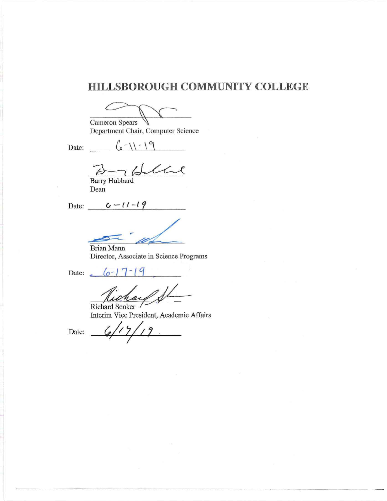# **HILLSBOROUGH COMMUNITY COLLEGE**

Ŋ

Cameron Spears Department Chair, Computer Science

Date:  $\int_{\ell}^{\infty}$   $\sqrt{1-\frac{9}{2}}$ 

Ithere  $\rightarrow$ 

Barry Hubbard Dean

Date:  $G - 11 - 19$ 

Brian Mann Director, Associate in Science Programs

Date:  $6 - 17 - 19$ 

Richard Senker Interim Vice President, Academic Affairs

Date:  $6/17/19$